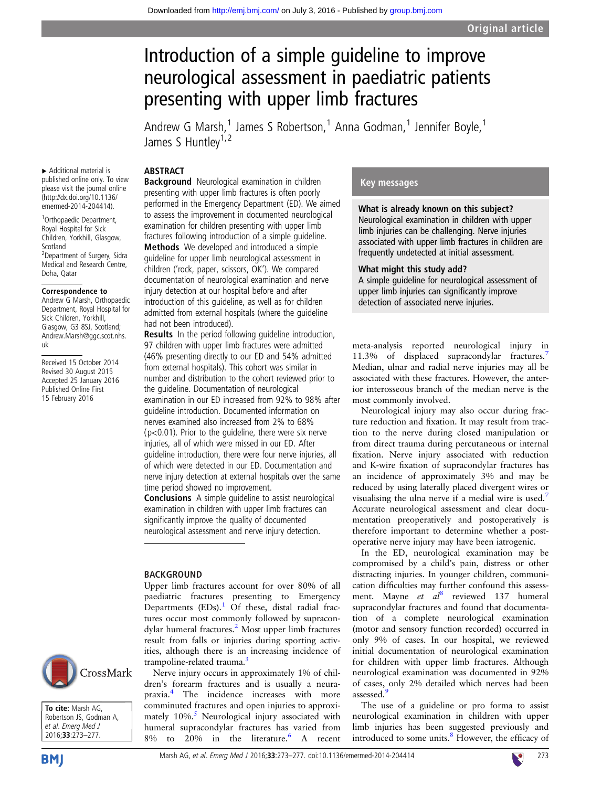# Introduction of a simple guideline to improve neurological assessment in paediatric patients presenting with upper limb fractures

Andrew G Marsh,<sup>1</sup> James S Robertson,<sup>1</sup> Anna Godman,<sup>1</sup> Jennifer Boyle,<sup>1</sup> James S Huntlev<sup>1,2</sup>

#### ABSTRACT

▸ Additional material is published online only. To view please visit the journal online [\(http://dx.doi.org/10.1136/](http://dx.doi.org/10.1136/emermed-2014-204414) [emermed-2014-204414](http://dx.doi.org/10.1136/emermed-2014-204414)).

1 Orthopaedic Department, Royal Hospital for Sick Children, Yorkhill, Glasgow, Scotland <sup>2</sup>Department of Surgery, Sidra Medical and Research Centre, Doha, Qatar

#### Correspondence to

Andrew G Marsh, Orthopaedic Department, Royal Hospital for Sick Children, Yorkhill, Glasgow, G3 8SJ, Scotland; Andrew.Marsh@ggc.scot.nhs. uk

Received 15 October 2014 Revised 30 August 2015 Accepted 25 January 2016 Published Online First 15 February 2016

Background Neurological examination in children presenting with upper limb fractures is often poorly performed in the Emergency Department (ED). We aimed to assess the improvement in documented neurological examination for children presenting with upper limb fractures following introduction of a simple guideline. Methods We developed and introduced a simple guideline for upper limb neurological assessment in children ('rock, paper, scissors, OK'). We compared documentation of neurological examination and nerve injury detection at our hospital before and after introduction of this guideline, as well as for children admitted from external hospitals (where the guideline had not been introduced).

Results In the period following guideline introduction, 97 children with upper limb fractures were admitted (46% presenting directly to our ED and 54% admitted from external hospitals). This cohort was similar in number and distribution to the cohort reviewed prior to the guideline. Documentation of neurological examination in our ED increased from 92% to 98% after guideline introduction. Documented information on nerves examined also increased from 2% to 68% (p<0.01). Prior to the guideline, there were six nerve injuries, all of which were missed in our ED. After guideline introduction, there were four nerve injuries, all of which were detected in our ED. Documentation and nerve injury detection at external hospitals over the same time period showed no improvement.

**Conclusions** A simple quideline to assist neurological examination in children with upper limb fractures can significantly improve the quality of documented neurological assessment and nerve injury detection.

## BACKGROUND

Upper limb fractures account for over 80% of all paediatric fractures presenting to Emergency Departments  $(EDs).$ <sup>[1](#page-4-0)</sup> Of these, distal radial fractures occur most commonly followed by supracondylar humeral fractures.<sup>2</sup> Most upper limb fractures result from falls or injuries during sporting activities, although there is an increasing incidence of trampoline-related trauma.<sup>[3](#page-4-0)</sup>

Nerve injury occurs in approximately 1% of children's forearm fractures and is usually a neurapraxia[.4](#page-4-0) The incidence increases with more comminuted fractures and open injuries to approximately  $10\%$ .<sup>5</sup> Neurological injury associated with humeral supracondylar fractures has varied from  $8\%$  to  $20\%$  in the literature. A recent

# Key messages

What is already known on this subject? Neurological examination in children with upper limb injuries can be challenging. Nerve injuries associated with upper limb fractures in children are frequently undetected at initial assessment.

## What might this study add?

A simple guideline for neurological assessment of upper limb injuries can significantly improve detection of associated nerve injuries.

meta-analysis reported neurological injury in 11.3% of displaced supracondylar fractures.<sup>[7](#page-4-0)</sup> Median, ulnar and radial nerve injuries may all be associated with these fractures. However, the anterior interosseous branch of the median nerve is the most commonly involved.

Neurological injury may also occur during fracture reduction and fixation. It may result from traction to the nerve during closed manipulation or from direct trauma during percutaneous or internal fixation. Nerve injury associated with reduction and K-wire fixation of supracondylar fractures has an incidence of approximately 3% and may be reduced by using laterally placed divergent wires or visualising the ulna nerve if a medial wire is used.<sup>[7](#page-4-0)</sup> Accurate neurological assessment and clear documentation preoperatively and postoperatively is therefore important to determine whether a postoperative nerve injury may have been iatrogenic.

In the ED, neurological examination may be compromised by a child's pain, distress or other distracting injuries. In younger children, communication difficulties may further confound this assess-ment. Mayne et al<sup>[8](#page-4-0)</sup> reviewed 137 humeral supracondylar fractures and found that documentation of a complete neurological examination (motor and sensory function recorded) occurred in only 9% of cases. In our hospital, we reviewed initial documentation of neurological examination for children with upper limb fractures. Although neurological examination was documented in 92% of cases, only 2% detailed which nerves had been assessed.

The use of a guideline or pro forma to assist neurological examination in children with upper limb injuries has been suggested previously and introduced to some units.<sup>[8](#page-4-0)</sup> However, the efficacy of





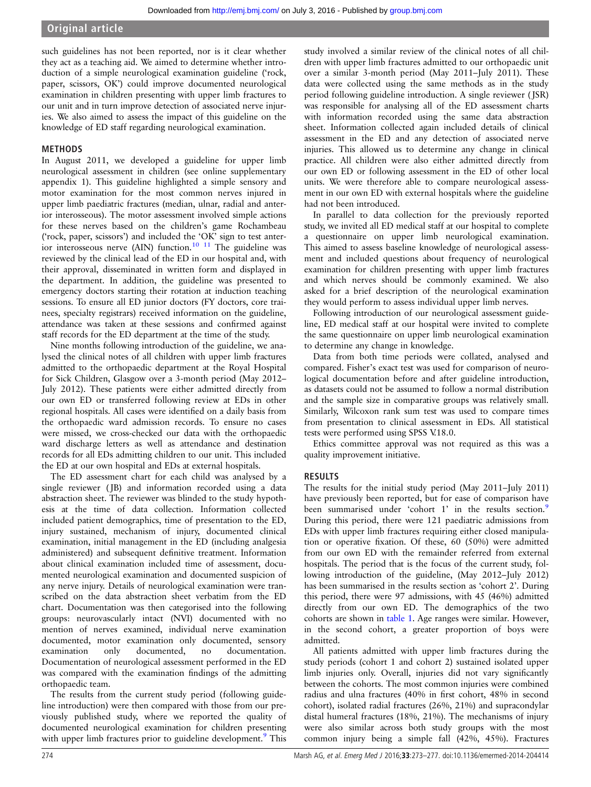Original article

such guidelines has not been reported, nor is it clear whether they act as a teaching aid. We aimed to determine whether introduction of a simple neurological examination guideline ('rock, paper, scissors, OK') could improve documented neurological examination in children presenting with upper limb fractures to our unit and in turn improve detection of associated nerve injuries. We also aimed to assess the impact of this guideline on the knowledge of ED staff regarding neurological examination.

# METHODS

In August 2011, we developed a guideline for upper limb neurological assessment in children (see online supplementary appendix 1). This guideline highlighted a simple sensory and motor examination for the most common nerves injured in upper limb paediatric fractures (median, ulnar, radial and anterior interosseous). The motor assessment involved simple actions for these nerves based on the children's game Rochambeau ('rock, paper, scissors') and included the 'OK' sign to test anterior interosseous nerve (AIN) function.<sup>10</sup> <sup>11</sup> The guideline was reviewed by the clinical lead of the ED in our hospital and, with their approval, disseminated in written form and displayed in the department. In addition, the guideline was presented to emergency doctors starting their rotation at induction teaching sessions. To ensure all ED junior doctors (FY doctors, core trainees, specialty registrars) received information on the guideline, attendance was taken at these sessions and confirmed against staff records for the ED department at the time of the study.

Nine months following introduction of the guideline, we analysed the clinical notes of all children with upper limb fractures admitted to the orthopaedic department at the Royal Hospital for Sick Children, Glasgow over a 3-month period (May 2012– July 2012). These patients were either admitted directly from our own ED or transferred following review at EDs in other regional hospitals. All cases were identified on a daily basis from the orthopaedic ward admission records. To ensure no cases were missed, we cross-checked our data with the orthopaedic ward discharge letters as well as attendance and destination records for all EDs admitting children to our unit. This included the ED at our own hospital and EDs at external hospitals.

The ED assessment chart for each child was analysed by a single reviewer ( JB) and information recorded using a data abstraction sheet. The reviewer was blinded to the study hypothesis at the time of data collection. Information collected included patient demographics, time of presentation to the ED, injury sustained, mechanism of injury, documented clinical examination, initial management in the ED (including analgesia administered) and subsequent definitive treatment. Information about clinical examination included time of assessment, documented neurological examination and documented suspicion of any nerve injury. Details of neurological examination were transcribed on the data abstraction sheet verbatim from the ED chart. Documentation was then categorised into the following groups: neurovascularly intact (NVI) documented with no mention of nerves examined, individual nerve examination documented, motor examination only documented, sensory examination only documented, no documentation. Documentation of neurological assessment performed in the ED was compared with the examination findings of the admitting orthopaedic team.

The results from the current study period (following guideline introduction) were then compared with those from our previously published study, where we reported the quality of documented neurological examination for children presenting with upper limb fractures prior to guideline development.<sup>[9](#page-4-0)</sup> This

study involved a similar review of the clinical notes of all children with upper limb fractures admitted to our orthopaedic unit over a similar 3-month period (May 2011–July 2011). These data were collected using the same methods as in the study period following guideline introduction. A single reviewer ( JSR) was responsible for analysing all of the ED assessment charts with information recorded using the same data abstraction sheet. Information collected again included details of clinical assessment in the ED and any detection of associated nerve injuries. This allowed us to determine any change in clinical practice. All children were also either admitted directly from our own ED or following assessment in the ED of other local units. We were therefore able to compare neurological assessment in our own ED with external hospitals where the guideline had not been introduced.

In parallel to data collection for the previously reported study, we invited all ED medical staff at our hospital to complete a questionnaire on upper limb neurological examination. This aimed to assess baseline knowledge of neurological assessment and included questions about frequency of neurological examination for children presenting with upper limb fractures and which nerves should be commonly examined. We also asked for a brief description of the neurological examination they would perform to assess individual upper limb nerves.

Following introduction of our neurological assessment guideline, ED medical staff at our hospital were invited to complete the same questionnaire on upper limb neurological examination to determine any change in knowledge.

Data from both time periods were collated, analysed and compared. Fisher's exact test was used for comparison of neurological documentation before and after guideline introduction, as datasets could not be assumed to follow a normal distribution and the sample size in comparative groups was relatively small. Similarly, Wilcoxon rank sum test was used to compare times from presentation to clinical assessment in EDs. All statistical tests were performed using SPSS V.18.0.

Ethics committee approval was not required as this was a quality improvement initiative.

# RESULTS

The results for the initial study period (May 2011–July 2011) have previously been reported, but for ease of comparison have been summarised under 'cohort 1' in the results section.<sup>[9](#page-4-0)</sup> During this period, there were 121 paediatric admissions from EDs with upper limb fractures requiring either closed manipulation or operative fixation. Of these, 60 (50%) were admitted from our own ED with the remainder referred from external hospitals. The period that is the focus of the current study, following introduction of the guideline, (May 2012–July 2012) has been summarised in the results section as 'cohort 2'. During this period, there were 97 admissions, with 45 (46%) admitted directly from our own ED. The demographics of the two cohorts are shown in [table 1.](#page-2-0) Age ranges were similar. However, in the second cohort, a greater proportion of boys were admitted.

All patients admitted with upper limb fractures during the study periods (cohort 1 and cohort 2) sustained isolated upper limb injuries only. Overall, injuries did not vary significantly between the cohorts. The most common injuries were combined radius and ulna fractures (40% in first cohort, 48% in second cohort), isolated radial fractures (26%, 21%) and supracondylar distal humeral fractures (18%, 21%). The mechanisms of injury were also similar across both study groups with the most common injury being a simple fall (42%, 45%). Fractures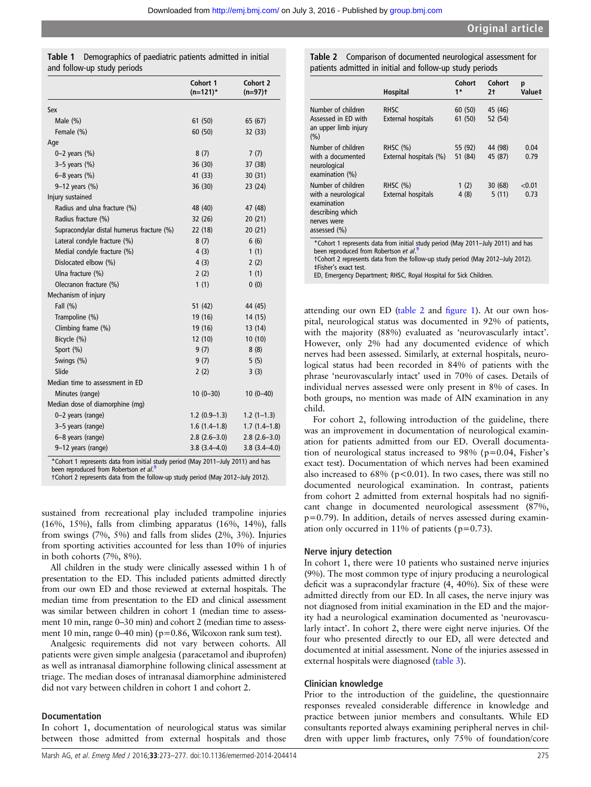<span id="page-2-0"></span>

| <b>Table 1</b> Demographics of paediatric patients admitted in initial |
|------------------------------------------------------------------------|
| and follow-up study periods                                            |

|                                                                                                                                        | Cohort 1<br>$(n=121)^*$ | Cohort 2<br>$(n=97)$ t |
|----------------------------------------------------------------------------------------------------------------------------------------|-------------------------|------------------------|
| Sex                                                                                                                                    |                         |                        |
| Male $(\%)$                                                                                                                            | 61(50)                  | 65 (67)                |
| Female (%)                                                                                                                             | 60 (50)                 | 32 (33)                |
| Age                                                                                                                                    |                         |                        |
| $0 - 2$ years $(\%)$                                                                                                                   | 8(7)                    | 7(7)                   |
| $3-5$ years $(\%)$                                                                                                                     | 36 (30)                 | 37 (38)                |
| $6 - 8$ years $(\%)$                                                                                                                   | 41 (33)                 | 30(31)                 |
| 9-12 years (%)                                                                                                                         | 36 (30)                 | 23(24)                 |
| Injury sustained                                                                                                                       |                         |                        |
| Radius and ulna fracture (%)                                                                                                           | 48 (40)                 | 47 (48)                |
| Radius fracture (%)                                                                                                                    | 32 (26)                 | 20(21)                 |
| Supracondylar distal humerus fracture (%)                                                                                              | 22 (18)                 | 20(21)                 |
| Lateral condyle fracture (%)                                                                                                           | 8(7)                    | 6(6)                   |
| Medial condyle fracture (%)                                                                                                            | 4(3)                    | 1(1)                   |
| Dislocated elbow (%)                                                                                                                   | 4(3)                    | 2(2)                   |
| Ulna fracture (%)                                                                                                                      | 2(2)                    | 1(1)                   |
| Olecranon fracture (%)                                                                                                                 | 1(1)                    | 0(0)                   |
| Mechanism of injury                                                                                                                    |                         |                        |
| Fall (%)                                                                                                                               | 51 (42)                 | 44 (45)                |
| Trampoline (%)                                                                                                                         | 19 (16)                 | 14 (15)                |
| Climbing frame (%)                                                                                                                     | 19 (16)                 | 13 (14)                |
| Bicycle (%)                                                                                                                            | 12(10)                  | 10(10)                 |
| Sport (%)                                                                                                                              | 9(7)                    | 8(8)                   |
| Swings (%)                                                                                                                             | 9(7)                    | 5(5)                   |
| Slide                                                                                                                                  | 2(2)                    | 3(3)                   |
| Median time to assessment in ED                                                                                                        |                         |                        |
| Minutes (range)                                                                                                                        | $10(0-30)$              | $10(0-40)$             |
| Median dose of diamorphine (mg)                                                                                                        |                         |                        |
| 0-2 years (range)                                                                                                                      | $1.2(0.9-1.3)$          | $1.2(1-1.3)$           |
| 3-5 years (range)                                                                                                                      | $1.6(1.4-1.8)$          | $1.7(1.4-1.8)$         |
| 6-8 years (range)                                                                                                                      | $2.8(2.6-3.0)$          | $2.8(2.6-3.0)$         |
| 9-12 years (range)                                                                                                                     | $3.8(3.4 - 4.0)$        | $3.8(3.4 - 4.0)$       |
| *Cohort 1 represents data from initial study period (May 2011-July 2011) and has<br>been reproduced from Robertson et al. <sup>9</sup> |                         |                        |

†Cohort 2 represents data from the follow-up study period (May 2012–July 2012).

sustained from recreational play included trampoline injuries (16%, 15%), falls from climbing apparatus (16%, 14%), falls from swings (7%, 5%) and falls from slides (2%, 3%). Injuries from sporting activities accounted for less than 10% of injuries in both cohorts (7%, 8%).

All children in the study were clinically assessed within 1 h of presentation to the ED. This included patients admitted directly from our own ED and those reviewed at external hospitals. The median time from presentation to the ED and clinical assessment was similar between children in cohort 1 (median time to assessment 10 min, range 0–30 min) and cohort 2 (median time to assessment 10 min, range 0–40 min) (p=0.86, Wilcoxon rank sum test).

Analgesic requirements did not vary between cohorts. All patients were given simple analgesia (paracetamol and ibuprofen) as well as intranasal diamorphine following clinical assessment at triage. The median doses of intranasal diamorphine administered did not vary between children in cohort 1 and cohort 2.

#### Documentation

In cohort 1, documentation of neurological status was similar between those admitted from external hospitals and those

| Hospital                                                                                                                                                                                                     | Cohort<br>$1*$     | Cohort<br>2†       | p<br>Value‡    |
|--------------------------------------------------------------------------------------------------------------------------------------------------------------------------------------------------------------|--------------------|--------------------|----------------|
| Number of children<br><b>RHSC</b><br>Assessed in ED with<br>External hospitals<br>an upper limb injury                                                                                                       | 60(50)<br>61 (50)  | 45 (46)<br>52 (54) |                |
| Number of children<br>RHSC $(%)$<br>with a documented<br>External hospitals (%)<br>neurological<br>examination (%)                                                                                           | 55 (92)<br>51 (84) | 44 (98)<br>45 (87) | 0.04<br>0.79   |
| Number of children<br><b>RHSC (%)</b><br>with a neurological<br>External hospitals<br>examination<br>describing which<br>nerves were<br>assessed $(\% )$                                                     | 1(2)<br>4(8)       | 30(68)<br>5(11)    | < 0.01<br>0.73 |
| *Cohort 1 represents data from initial study period (May 2011-July 2011) and has<br>been reproduced from Robertson et al 9<br>tCobort 2 represents data from the follow-up study period (May 2012-July 2012) |                    |                    |                |

†Cohort 2 represents data from the follow-up study period (May 2012–July 2012). ‡Fisher's exact test.

ED, Emergency Department; RHSC, Royal Hospital for Sick Children.

attending our own ED (table 2 and fi[gure 1](#page-3-0)). At our own hospital, neurological status was documented in 92% of patients, with the majority (88%) evaluated as 'neurovascularly intact'. However, only 2% had any documented evidence of which nerves had been assessed. Similarly, at external hospitals, neurological status had been recorded in 84% of patients with the phrase 'neurovascularly intact' used in 70% of cases. Details of individual nerves assessed were only present in 8% of cases. In both groups, no mention was made of AIN examination in any child.

For cohort 2, following introduction of the guideline, there was an improvement in documentation of neurological examination for patients admitted from our ED. Overall documentation of neurological status increased to 98% (p=0.04, Fisher's exact test). Documentation of which nerves had been examined also increased to  $68\%$  ( $p<0.01$ ). In two cases, there was still no documented neurological examination. In contrast, patients from cohort 2 admitted from external hospitals had no significant change in documented neurological assessment (87%, p=0.79). In addition, details of nerves assessed during examination only occurred in 11% of patients ( $p=0.73$ ).

#### Nerve injury detection

In cohort 1, there were 10 patients who sustained nerve injuries (9%). The most common type of injury producing a neurological deficit was a supracondylar fracture (4, 40%). Six of these were admitted directly from our ED. In all cases, the nerve injury was not diagnosed from initial examination in the ED and the majority had a neurological examination documented as 'neurovascularly intact'. In cohort 2, there were eight nerve injuries. Of the four who presented directly to our ED, all were detected and documented at initial assessment. None of the injuries assessed in external hospitals were diagnosed ([table 3](#page-3-0)).

#### Clinician knowledge

Prior to the introduction of the guideline, the questionnaire responses revealed considerable difference in knowledge and practice between junior members and consultants. While ED consultants reported always examining peripheral nerves in children with upper limb fractures, only 75% of foundation/core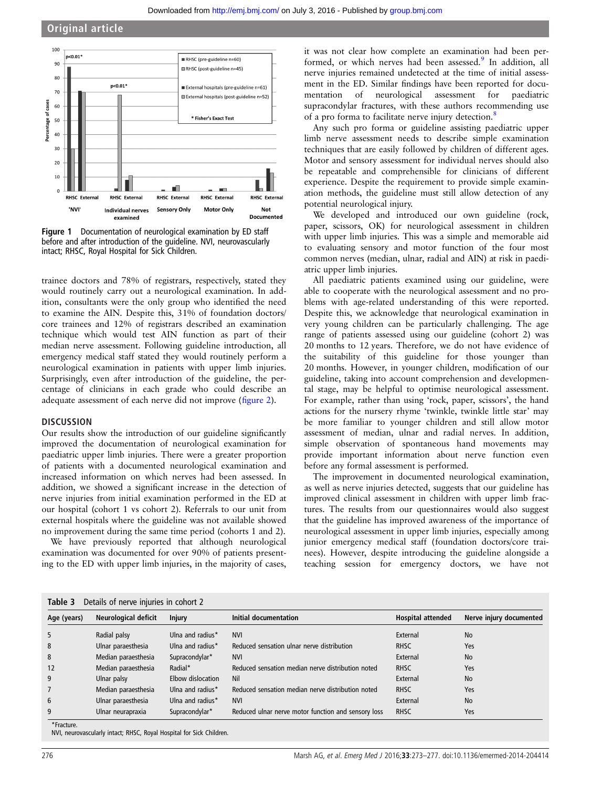<span id="page-3-0"></span>

Figure 1 Documentation of neurological examination by ED staff before and after introduction of the guideline. NVI, neurovascularly intact; RHSC, Royal Hospital for Sick Children.

trainee doctors and 78% of registrars, respectively, stated they would routinely carry out a neurological examination. In addition, consultants were the only group who identified the need to examine the AIN. Despite this, 31% of foundation doctors/ core trainees and 12% of registrars described an examination technique which would test AIN function as part of their median nerve assessment. Following guideline introduction, all emergency medical staff stated they would routinely perform a neurological examination in patients with upper limb injuries. Surprisingly, even after introduction of the guideline, the percentage of clinicians in each grade who could describe an adequate assessment of each nerve did not improve (fi[gure 2](#page-4-0)).

#### **DISCUSSION**

Our results show the introduction of our guideline significantly improved the documentation of neurological examination for paediatric upper limb injuries. There were a greater proportion of patients with a documented neurological examination and increased information on which nerves had been assessed. In addition, we showed a significant increase in the detection of nerve injuries from initial examination performed in the ED at our hospital (cohort 1 vs cohort 2). Referrals to our unit from external hospitals where the guideline was not available showed no improvement during the same time period (cohorts 1 and 2).

We have previously reported that although neurological examination was documented for over 90% of patients presenting to the ED with upper limb injuries, in the majority of cases,

it was not clear how complete an examination had been per-formed, or which nerves had been assessed.<sup>[9](#page-4-0)</sup> In addition, all nerve injuries remained undetected at the time of initial assessment in the ED. Similar findings have been reported for documentation of neurological assessment for paediatric supracondylar fractures, with these authors recommending use of a pro forma to facilitate nerve injury detection.<sup>[8](#page-4-0)</sup>

Any such pro forma or guideline assisting paediatric upper limb nerve assessment needs to describe simple examination techniques that are easily followed by children of different ages. Motor and sensory assessment for individual nerves should also be repeatable and comprehensible for clinicians of different experience. Despite the requirement to provide simple examination methods, the guideline must still allow detection of any potential neurological injury.

We developed and introduced our own guideline (rock, paper, scissors, OK) for neurological assessment in children with upper limb injuries. This was a simple and memorable aid to evaluating sensory and motor function of the four most common nerves (median, ulnar, radial and AIN) at risk in paediatric upper limb injuries.

All paediatric patients examined using our guideline, were able to cooperate with the neurological assessment and no problems with age-related understanding of this were reported. Despite this, we acknowledge that neurological examination in very young children can be particularly challenging. The age range of patients assessed using our guideline (cohort 2) was 20 months to 12 years. Therefore, we do not have evidence of the suitability of this guideline for those younger than 20 months. However, in younger children, modification of our guideline, taking into account comprehension and developmental stage, may be helpful to optimise neurological assessment. For example, rather than using 'rock, paper, scissors', the hand actions for the nursery rhyme 'twinkle, twinkle little star' may be more familiar to younger children and still allow motor assessment of median, ulnar and radial nerves. In addition, simple observation of spontaneous hand movements may provide important information about nerve function even before any formal assessment is performed.

The improvement in documented neurological examination, as well as nerve injuries detected, suggests that our guideline has improved clinical assessment in children with upper limb fractures. The results from our questionnaires would also suggest that the guideline has improved awareness of the importance of neurological assessment in upper limb injuries, especially among junior emergency medical staff (foundation doctors/core trainees). However, despite introducing the guideline alongside a teaching session for emergency doctors, we have not

| Age (years) | Neurological deficit | Injury            | Initial documentation                               | <b>Hospital attended</b> | Nerve injury documented |
|-------------|----------------------|-------------------|-----------------------------------------------------|--------------------------|-------------------------|
| 5           | Radial palsy         | Ulna and radius*  | <b>NVI</b>                                          | External                 | <b>No</b>               |
| 8           | Ulnar paraesthesia   | Ulna and radius*  | Reduced sensation ulnar nerve distribution          | <b>RHSC</b>              | Yes                     |
| 8           | Median paraesthesia  | Supracondylar*    | <b>NVI</b>                                          | External                 | <b>No</b>               |
| 12          | Median paraesthesia  | Radial*           | Reduced sensation median nerve distribution noted   | <b>RHSC</b>              | Yes                     |
| 9           | Ulnar palsy          | Elbow dislocation | Nil                                                 | External                 | <b>No</b>               |
|             | Median paraesthesia  | Ulna and radius*  | Reduced sensation median nerve distribution noted   | <b>RHSC</b>              | Yes                     |
| 6           | Ulnar paraesthesia   | Ulna and radius*  | <b>NVI</b>                                          | External                 | <b>No</b>               |
| 9           | Ulnar neurapraxia    | Supracondylar*    | Reduced ulnar nerve motor function and sensory loss | <b>RHSC</b>              | Yes                     |

\*Fracture. NVI, neurovascularly intact; RHSC, Royal Hospital for Sick Children.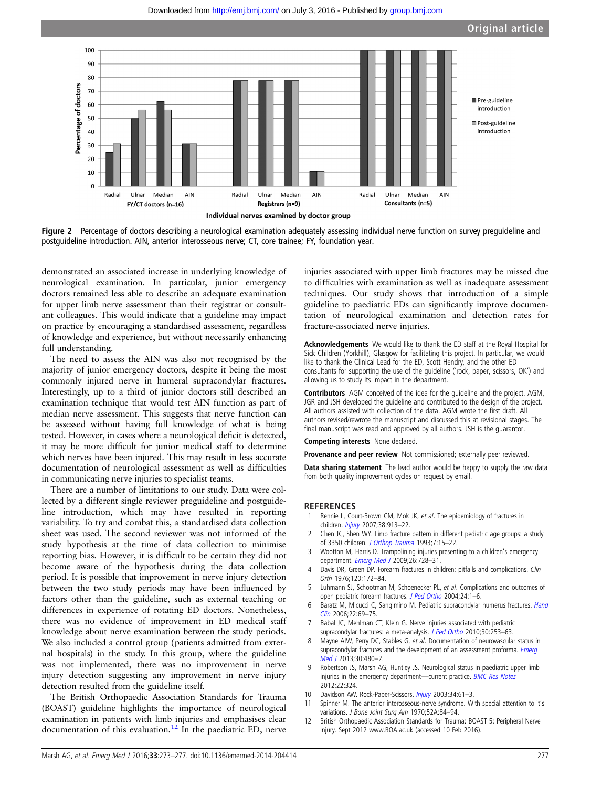<span id="page-4-0"></span>

Figure 2 Percentage of doctors describing a neurological examination adequately assessing individual nerve function on survey preguideline and postguideline introduction. AIN, anterior interosseous nerve; CT, core trainee; FY, foundation year.

demonstrated an associated increase in underlying knowledge of neurological examination. In particular, junior emergency doctors remained less able to describe an adequate examination for upper limb nerve assessment than their registrar or consultant colleagues. This would indicate that a guideline may impact on practice by encouraging a standardised assessment, regardless of knowledge and experience, but without necessarily enhancing full understanding.

The need to assess the AIN was also not recognised by the majority of junior emergency doctors, despite it being the most commonly injured nerve in humeral supracondylar fractures. Interestingly, up to a third of junior doctors still described an examination technique that would test AIN function as part of median nerve assessment. This suggests that nerve function can be assessed without having full knowledge of what is being tested. However, in cases where a neurological deficit is detected, it may be more difficult for junior medical staff to determine which nerves have been injured. This may result in less accurate documentation of neurological assessment as well as difficulties in communicating nerve injuries to specialist teams.

There are a number of limitations to our study. Data were collected by a different single reviewer preguideline and postguideline introduction, which may have resulted in reporting variability. To try and combat this, a standardised data collection sheet was used. The second reviewer was not informed of the study hypothesis at the time of data collection to minimise reporting bias. However, it is difficult to be certain they did not become aware of the hypothesis during the data collection period. It is possible that improvement in nerve injury detection between the two study periods may have been influenced by factors other than the guideline, such as external teaching or differences in experience of rotating ED doctors. Nonetheless, there was no evidence of improvement in ED medical staff knowledge about nerve examination between the study periods. We also included a control group (patients admitted from external hospitals) in the study. In this group, where the guideline was not implemented, there was no improvement in nerve injury detection suggesting any improvement in nerve injury detection resulted from the guideline itself.

The British Orthopaedic Association Standards for Trauma (BOAST) guideline highlights the importance of neurological examination in patients with limb injuries and emphasises clear documentation of this evaluation. $12$  In the paediatric ED, nerve

injuries associated with upper limb fractures may be missed due to difficulties with examination as well as inadequate assessment techniques. Our study shows that introduction of a simple guideline to paediatric EDs can significantly improve documentation of neurological examination and detection rates for fracture-associated nerve injuries.

Acknowledgements We would like to thank the ED staff at the Royal Hospital for Sick Children (Yorkhill), Glasgow for facilitating this project. In particular, we would like to thank the Clinical Lead for the ED, Scott Hendry, and the other ED consultants for supporting the use of the guideline ('rock, paper, scissors, OK') and allowing us to study its impact in the department.

Contributors AGM conceived of the idea for the guideline and the project. AGM, JGR and JSH developed the guideline and contributed to the design of the project. All authors assisted with collection of the data. AGM wrote the first draft. All authors revised/rewrote the manuscript and discussed this at revisional stages. The final manuscript was read and approved by all authors. JSH is the guarantor.

Competing interests None declared.

Provenance and peer review Not commissioned; externally peer reviewed.

Data sharing statement The lead author would be happy to supply the raw data from both quality improvement cycles on request by email.

#### **REFERENCES**

- Rennie L, Court-Brown CM, Mok JK, et al. The epidemiology of fractures in children. *[Injury](http://dx.doi.org/10.1016/j.injury.2007.01.036)* 2007;38:913-22.
- 2 Chen JC, Shen WY. Limb fracture pattern in different pediatric age groups: a study of 3350 children. [J Orthop Trauma](http://dx.doi.org/10.1097/00005131-199302000-00004) 1993;7:15–22.
- 3 Wootton M, Harris D. Trampolining injuries presenting to a children's emergency department. [Emerg Med J](http://dx.doi.org/10.1136/emj.2008.069344) 2009;26:728–31.
- Davis DR, Green DP. Forearm fractures in children: pitfalls and complications. Clin Orth 1976;120:172–84.
- 5 Luhmann SJ, Schootman M, Schoenecker PL, et al. Complications and outcomes of open pediatric forearm fractures. [J Ped Ortho](http://dx.doi.org/10.1097/01241398-200401000-00001) 2004;24:1–6.
- 6 Baratz M, Micucci C, Sangimino M. Pediatric supracondylar humerus fractures. [Hand](http://dx.doi.org/10.1016/j.hcl.2005.11.002) [Clin](http://dx.doi.org/10.1016/j.hcl.2005.11.002) 2006;22:69–75.
- 7 Babal JC, Mehlman CT, Klein G. Nerve injuries associated with pediatric supracondylar fractures: a meta-analysis. [J Ped Ortho](http://dx.doi.org/10.1097/BPO.0b013e3181d213a6) 2010;30:253-63.
- 8 Mayne AIW, Perry DC, Stables G, et al. Documentation of neurovascular status in supracondylar fractures and the development of an assessment proforma. *[Emerg](http://dx.doi.org/10.1136/emermed-2012-201293)* [Med J](http://dx.doi.org/10.1136/emermed-2012-201293) 2013;30:480–2.
- 9 Robertson JS, Marsh AG, Huntley JS. Neurological status in paediatric upper limb injuries in the emergency department-current practice. **[BMC Res Notes](http://dx.doi.org/10.1186/1756-0500-5-324)** 2012;22:324.
- 10 Davidson AW. Rock-Paper-Scissors. *[Injury](http://dx.doi.org/10.1016/S0020-1383(02)00102-X)* 2003;34:61-3.
- 11 Spinner M. The anterior interosseous-nerve syndrome. With special attention to it's variations. J Bone Joint Surg Am 1970;52A:84–94.
- 12 British Orthopaedic Association Standards for Trauma: BOAST 5: Peripheral Nerve Injury. Sept 2012 [www.BOA.ac.uk](http://www.BOA.ac.uk) (accessed 10 Feb 2016).